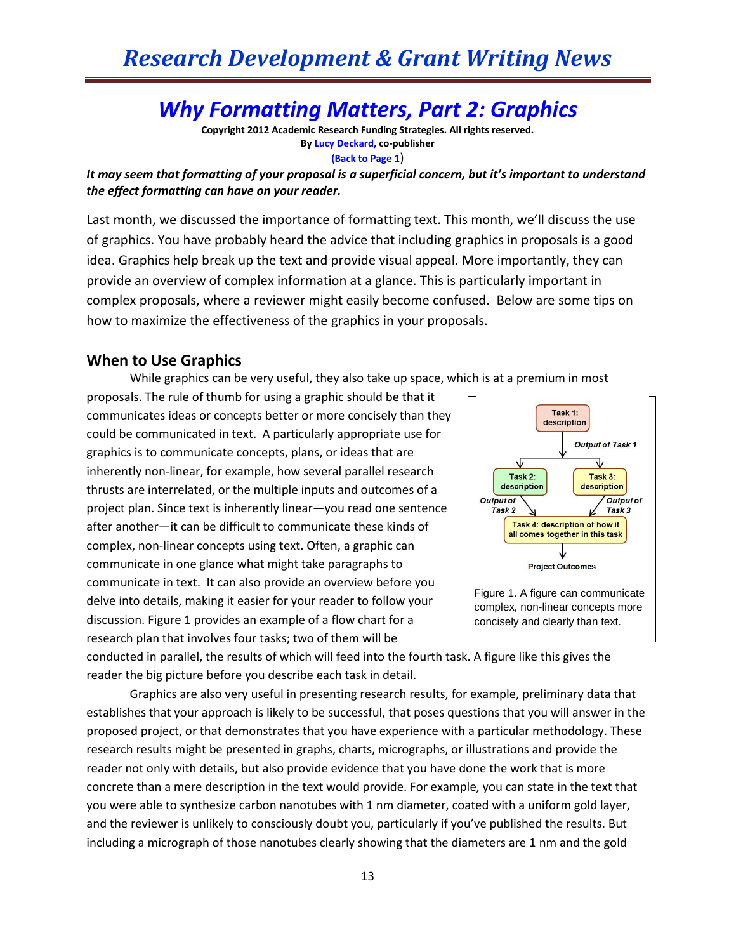## *Why Formatting Matters, Part 2: Graphics*

**Copyright 2012 Academic Research Funding Strategies. All rights reserved. B[y Lucy Deckard,](mailto:LDeckard@academicresearchgrants.com) co-publisher (Back to Page 1**)

*It may seem that formatting of your proposal is a superficial concern, but it's important to understand the effect formatting can have on your reader.*

Last month, we discussed the importance of formatting text. This month, we'll discuss the use of graphics. You have probably heard the advice that including graphics in proposals is a good idea. Graphics help break up the text and provide visual appeal. More importantly, they can provide an overview of complex information at a glance. This is particularly important in complex proposals, where a reviewer might easily become confused. Below are some tips on how to maximize the effectiveness of the graphics in your proposals.

## **When to Use Graphics**

While graphics can be very useful, they also take up space, which is at a premium in most

proposals. The rule of thumb for using a graphic should be that it communicates ideas or concepts better or more concisely than they could be communicated in text. A particularly appropriate use for graphics is to communicate concepts, plans, or ideas that are inherently non-linear, for example, how several parallel research thrusts are interrelated, or the multiple inputs and outcomes of a project plan. Since text is inherently linear—you read one sentence after another—it can be difficult to communicate these kinds of complex, non-linear concepts using text. Often, a graphic can communicate in one glance what might take paragraphs to communicate in text. It can also provide an overview before you delve into details, making it easier for your reader to follow your discussion. Figure 1 provides an example of a flow chart for a research plan that involves four tasks; two of them will be



conducted in parallel, the results of which will feed into the fourth task. A figure like this gives the reader the big picture before you describe each task in detail.

Graphics are also very useful in presenting research results, for example, preliminary data that establishes that your approach is likely to be successful, that poses questions that you will answer in the proposed project, or that demonstrates that you have experience with a particular methodology. These research results might be presented in graphs, charts, micrographs, or illustrations and provide the reader not only with details, but also provide evidence that you have done the work that is more concrete than a mere description in the text would provide. For example, you can state in the text that you were able to synthesize carbon nanotubes with 1 nm diameter, coated with a uniform gold layer, and the reviewer is unlikely to consciously doubt you, particularly if you've published the results. But including a micrograph of those nanotubes clearly showing that the diameters are 1 nm and the gold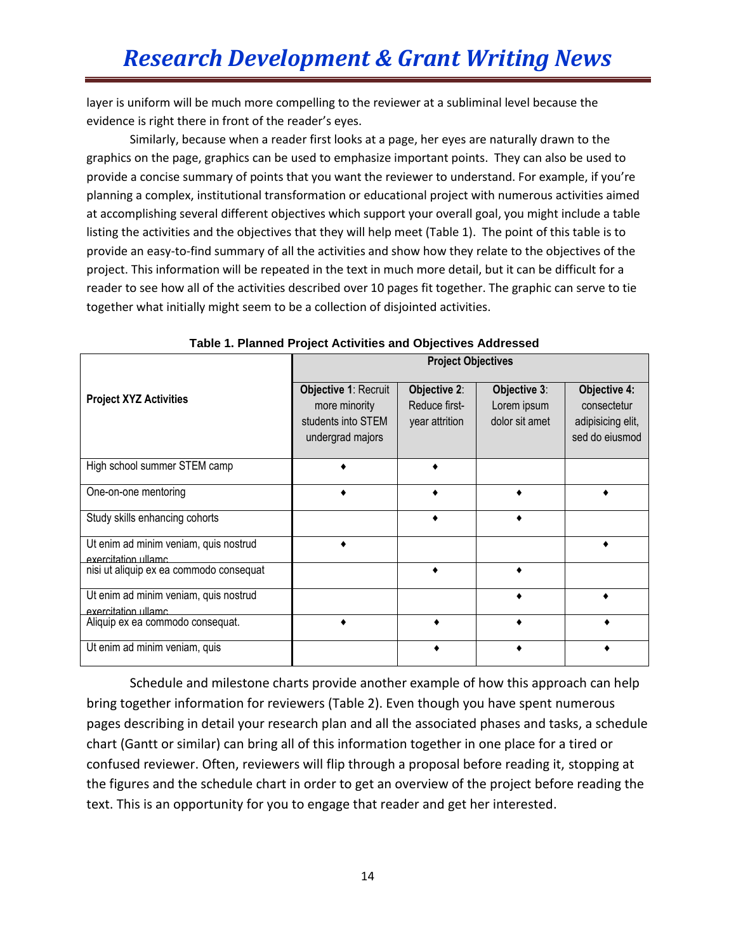layer is uniform will be much more compelling to the reviewer at a subliminal level because the evidence is right there in front of the reader's eyes.

Similarly, because when a reader first looks at a page, her eyes are naturally drawn to the graphics on the page, graphics can be used to emphasize important points. They can also be used to provide a concise summary of points that you want the reviewer to understand. For example, if you're planning a complex, institutional transformation or educational project with numerous activities aimed at accomplishing several different objectives which support your overall goal, you might include a table listing the activities and the objectives that they will help meet (Table 1). The point of this table is to provide an easy-to-find summary of all the activities and show how they relate to the objectives of the project. This information will be repeated in the text in much more detail, but it can be difficult for a reader to see how all of the activities described over 10 pages fit together. The graphic can serve to tie together what initially might seem to be a collection of disjointed activities.

|                                                               | <b>Project Objectives</b>                                                       |                                                        |                                               |                                                                           |  |  |
|---------------------------------------------------------------|---------------------------------------------------------------------------------|--------------------------------------------------------|-----------------------------------------------|---------------------------------------------------------------------------|--|--|
| <b>Project XYZ Activities</b>                                 | Objective 1: Recruit<br>more minority<br>students into STEM<br>undergrad majors | <b>Objective 2:</b><br>Reduce first-<br>year attrition | Objective 3:<br>Lorem ipsum<br>dolor sit amet | <b>Objective 4:</b><br>consectetur<br>adipisicing elit,<br>sed do eiusmod |  |  |
| High school summer STEM camp                                  |                                                                                 |                                                        |                                               |                                                                           |  |  |
| One-on-one mentoring                                          |                                                                                 |                                                        |                                               |                                                                           |  |  |
| Study skills enhancing cohorts                                |                                                                                 |                                                        |                                               |                                                                           |  |  |
| Ut enim ad minim veniam, quis nostrud<br>exercitation ullamc. |                                                                                 |                                                        |                                               |                                                                           |  |  |
| nisi ut aliquip ex ea commodo consequat                       |                                                                                 |                                                        |                                               |                                                                           |  |  |
| Ut enim ad minim veniam, quis nostrud<br>exercitation ullamc. |                                                                                 |                                                        |                                               |                                                                           |  |  |
| Aliquip ex ea commodo consequat.                              |                                                                                 |                                                        |                                               |                                                                           |  |  |
| Ut enim ad minim veniam, quis                                 |                                                                                 |                                                        |                                               |                                                                           |  |  |

**Table 1. Planned Project Activities and Objectives Addressed**

Schedule and milestone charts provide another example of how this approach can help bring together information for reviewers (Table 2). Even though you have spent numerous pages describing in detail your research plan and all the associated phases and tasks, a schedule chart (Gantt or similar) can bring all of this information together in one place for a tired or confused reviewer. Often, reviewers will flip through a proposal before reading it, stopping at the figures and the schedule chart in order to get an overview of the project before reading the text. This is an opportunity for you to engage that reader and get her interested.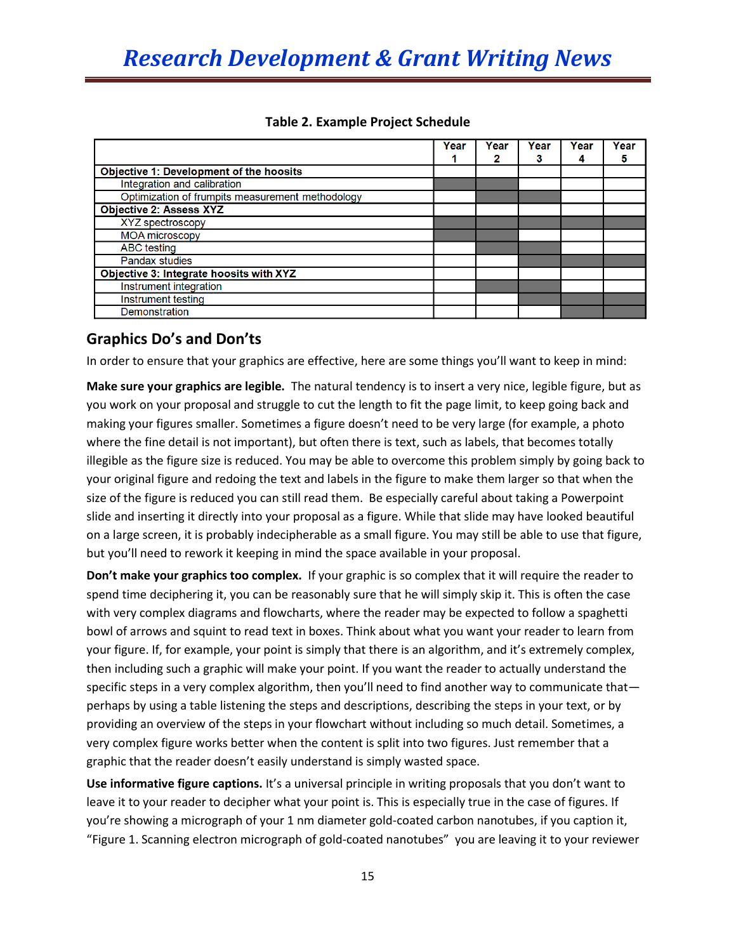|                                                  | Year | Year<br>2 | Year<br>3 | Year | Year |
|--------------------------------------------------|------|-----------|-----------|------|------|
|                                                  |      |           |           | 4    | 5    |
| Objective 1: Development of the hoosits          |      |           |           |      |      |
| Integration and calibration                      |      |           |           |      |      |
| Optimization of frumpits measurement methodology |      |           |           |      |      |
| <b>Objective 2: Assess XYZ</b>                   |      |           |           |      |      |
| XYZ spectroscopy                                 |      |           |           |      |      |
| <b>MOA microscopy</b>                            |      |           |           |      |      |
| ABC testing                                      |      |           |           |      |      |
| <b>Pandax studies</b>                            |      |           |           |      |      |
| Objective 3: Integrate hoosits with XYZ          |      |           |           |      |      |
| Instrument integration                           |      |           |           |      |      |
| Instrument testing                               |      |           |           |      |      |
| Demonstration                                    |      |           |           |      |      |

## **Table 2. Example Project Schedule**

## **Graphics Do's and Don'ts**

In order to ensure that your graphics are effective, here are some things you'll want to keep in mind:

**Make sure your graphics are legible.** The natural tendency is to insert a very nice, legible figure, but as you work on your proposal and struggle to cut the length to fit the page limit, to keep going back and making your figures smaller. Sometimes a figure doesn't need to be very large (for example, a photo where the fine detail is not important), but often there is text, such as labels, that becomes totally illegible as the figure size is reduced. You may be able to overcome this problem simply by going back to your original figure and redoing the text and labels in the figure to make them larger so that when the size of the figure is reduced you can still read them. Be especially careful about taking a Powerpoint slide and inserting it directly into your proposal as a figure. While that slide may have looked beautiful on a large screen, it is probably indecipherable as a small figure. You may still be able to use that figure, but you'll need to rework it keeping in mind the space available in your proposal.

**Don't make your graphics too complex.** If your graphic is so complex that it will require the reader to spend time deciphering it, you can be reasonably sure that he will simply skip it. This is often the case with very complex diagrams and flowcharts, where the reader may be expected to follow a spaghetti bowl of arrows and squint to read text in boxes. Think about what you want your reader to learn from your figure. If, for example, your point is simply that there is an algorithm, and it's extremely complex, then including such a graphic will make your point. If you want the reader to actually understand the specific steps in a very complex algorithm, then you'll need to find another way to communicate thatperhaps by using a table listening the steps and descriptions, describing the steps in your text, or by providing an overview of the steps in your flowchart without including so much detail. Sometimes, a very complex figure works better when the content is split into two figures. Just remember that a graphic that the reader doesn't easily understand is simply wasted space.

Use informative figure captions. It's a universal principle in writing proposals that you don't want to leave it to your reader to decipher what your point is. This is especially true in the case of figures. If you're showing a micrograph of your 1 nm diameter gold-coated carbon nanotubes, if you caption it, "Figure 1. Scanning electron micrograph of gold-coated nanotubes" you are leaving it to your reviewer